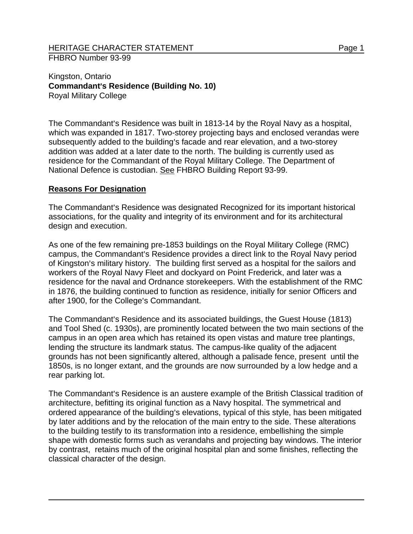Kingston, Ontario **Commandant's Residence (Building No. 10)** Royal Military College

The Commandant's Residence was built in 1813-14 by the Royal Navy as a hospital, which was expanded in 1817. Two-storey projecting bays and enclosed verandas were subsequently added to the building's facade and rear elevation, and a two-storey addition was added at a later date to the north. The building is currently used as residence for the Commandant of the Royal Military College. The Department of National Defence is custodian. See FHBRO Building Report 93-99.

## **Reasons For Designation**

The Commandant's Residence was designated Recognized for its important historical associations, for the quality and integrity of its environment and for its architectural design and execution.

As one of the few remaining pre-1853 buildings on the Royal Military College (RMC) campus, the Commandant's Residence provides a direct link to the Royal Navy period of Kingston's military history. The building first served as a hospital for the sailors and workers of the Royal Navy Fleet and dockyard on Point Frederick, and later was a residence for the naval and Ordnance storekeepers. With the establishment of the RMC in 1876, the building continued to function as residence, initially for senior Officers and after 1900, for the College's Commandant.

The Commandant's Residence and its associated buildings, the Guest House (1813) and Tool Shed (c. 1930s), are prominently located between the two main sections of the campus in an open area which has retained its open vistas and mature tree plantings, lending the structure its landmark status. The campus-like quality of the adjacent grounds has not been significantly altered, although a palisade fence, present until the 1850s, is no longer extant, and the grounds are now surrounded by a low hedge and a rear parking lot.

The Commandant's Residence is an austere example of the British Classical tradition of architecture, befitting its original function as a Navy hospital. The symmetrical and ordered appearance of the building's elevations, typical of this style, has been mitigated by later additions and by the relocation of the main entry to the side. These alterations to the building testify to its transformation into a residence, embellishing the simple shape with domestic forms such as verandahs and projecting bay windows. The interior by contrast, retains much of the original hospital plan and some finishes, reflecting the classical character of the design.